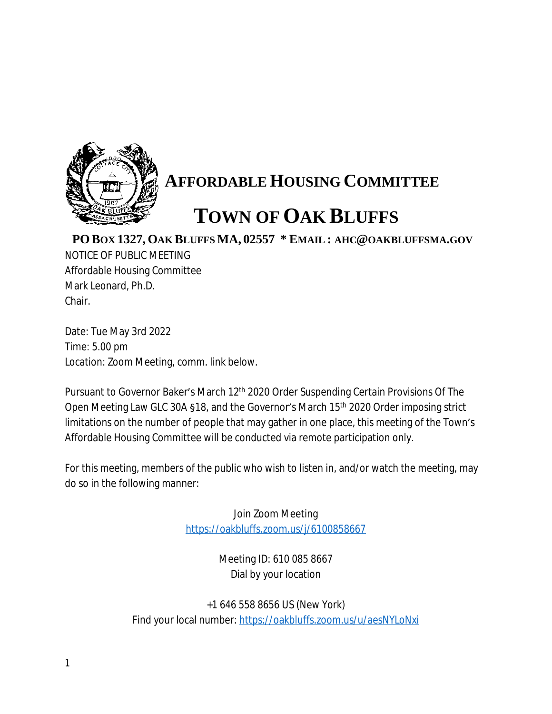

## **AFFORDABLE HOUSING COMMITTEE**

## **TOWN OF OAK BLUFFS**

**PO BOX 1327, OAK BLUFFS MA, 02557 \* EMAIL : AHC@OAKBLUFFSMA.GOV**

NOTICE OF PUBLIC MEETING Affordable Housing Committee Mark Leonard, Ph.D. Chair.

Date: Tue May 3rd 2022 Time: 5.00 pm Location: Zoom Meeting, comm. link below.

Pursuant to Governor Baker's March 12<sup>th</sup> 2020 Order Suspending Certain Provisions Of The Open Meeting Law GLC 30A §18, and the Governor's March 15th 2020 Order imposing strict limitations on the number of people that may gather in one place, this meeting of the Town's Affordable Housing Committee will be conducted via remote participation only.

For this meeting, members of the public who wish to listen in, and/or watch the meeting, may do so in the following manner:

> Join Zoom Meeting <https://oakbluffs.zoom.us/j/6100858667>

> > Meeting ID: 610 085 8667 Dial by your location

+1 646 558 8656 US (New York) Find your local number: <https://oakbluffs.zoom.us/u/aesNYLoNxi>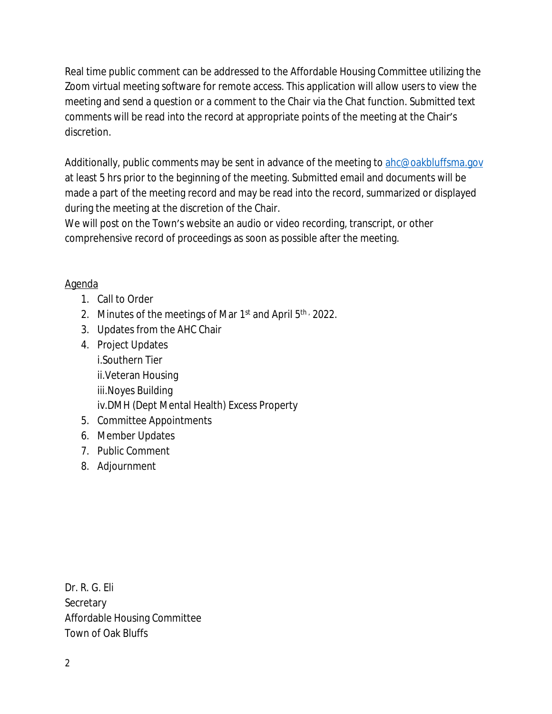Real time public comment can be addressed to the Affordable Housing Committee utilizing the Zoom virtual meeting software for remote access. This application will allow users to view the meeting and send a question or a comment to the Chair via the Chat function. Submitted text comments will be read into the record at appropriate points of the meeting at the Chair's discretion.

Additionally, public comments may be sent in advance of the meeting to [ahc@oakbluffsma.gov](mailto:ahc@oakbluffsma.gov) at least 5 hrs prior to the beginning of the meeting. Submitted email and documents will be made a part of the meeting record and may be read into the record, summarized or displayed during the meeting at the discretion of the Chair.

We will post on the Town's website an audio or video recording, transcript, or other comprehensive record of proceedings as soon as possible after the meeting.

## Agenda

- 1. Call to Order
- 2. Minutes of the meetings of Mar  $1<sup>st</sup>$  and April  $5<sup>th</sup>$ , 2022.
- 3. Updates from the AHC Chair
- 4. Project Updates i.Southern Tier ii.Veteran Housing iii.Noyes Building iv.DMH (Dept Mental Health) Excess Property
- 5. Committee Appointments
- 6. Member Updates
- 7. Public Comment
- 8. Adjournment

Dr. R. G. Eli **Secretary** Affordable Housing Committee Town of Oak Bluffs